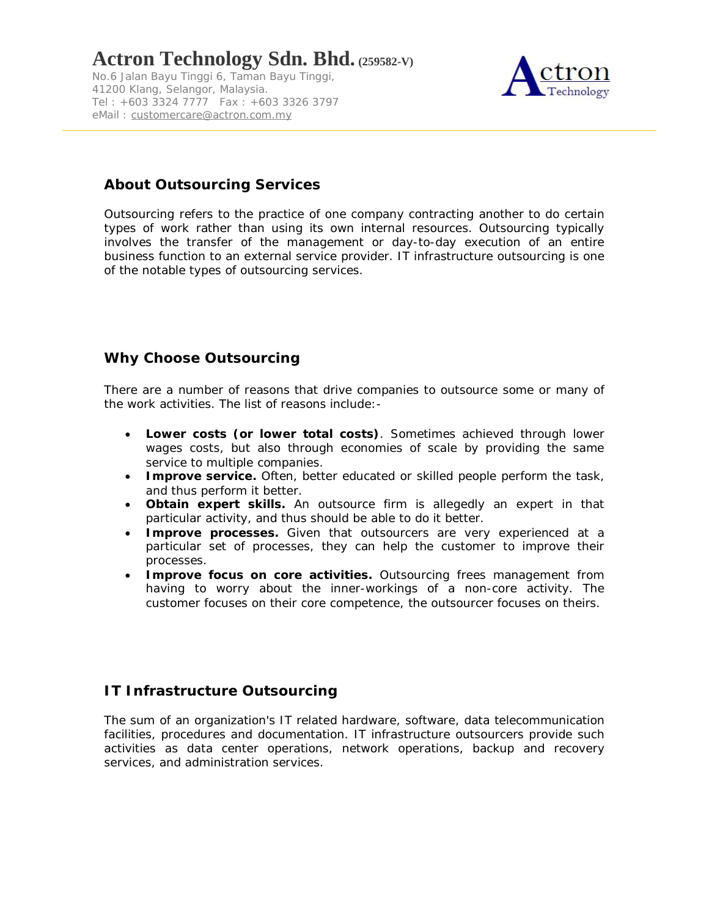No.6 Jalan Bayu Tinggi 6, Taman Bayu Tinggi, 41200 Klang, Selangor, Malaysia. Tel : +603 3324 7777 Fax : +603 3326 3797 eMail: customercare@actron.com.my



## **About Outsourcing Services**

Outsourcing refers to the practice of one company contracting another to do certain types of work rather than using its own internal resources. Outsourcing typically involves the transfer of the management or day-to-day execution of an entire business function to an external service provider. *IT infrastructure outsourcing is one of the notable types of outsourcing services.*

## **Why Choose Outsourcing**

There are a number of reasons that drive companies to outsource some or many of the work activities. The list of reasons include:-

- **Lower costs (or lower total costs)**. Sometimes achieved through lower wages costs, but also through economies of scale by providing the same service to multiple companies.
- **Improve service.** Often, better educated or skilled people perform the task, and thus perform it better.
- **Obtain expert skills.** An outsource firm is allegedly an expert in that particular activity, and thus should be able to do it better.
- **Improve processes.** Given that outsourcers are very experienced at a particular set of processes, they can help the customer to improve their processes.
- **Improve focus on core activities.** Outsourcing frees management from having to worry about the inner-workings of a non-core activity. The customer focuses on their core competence, the outsourcer focuses on theirs.

## **IT Infrastructure Outsourcing**

The sum of an organization's IT related hardware, software, data telecommunication facilities, procedures and documentation. IT infrastructure outsourcers provide such activities as data center operations, network operations, backup and recovery services, and administration services.